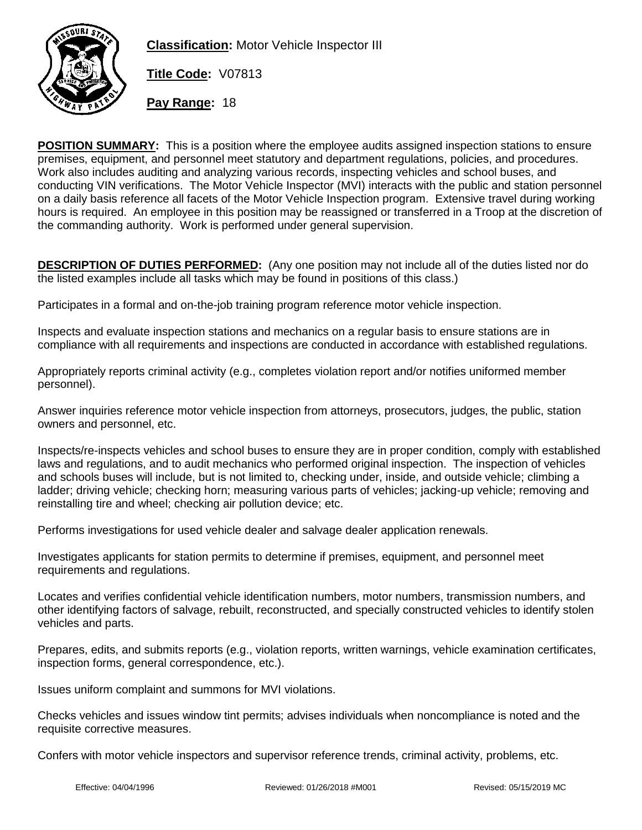

**Classification:** Motor Vehicle Inspector III

**Title Code:** V07813

**Pay Range:** 18

**POSITION SUMMARY:** This is a position where the employee audits assigned inspection stations to ensure premises, equipment, and personnel meet statutory and department regulations, policies, and procedures. Work also includes auditing and analyzing various records, inspecting vehicles and school buses, and conducting VIN verifications. The Motor Vehicle Inspector (MVI) interacts with the public and station personnel on a daily basis reference all facets of the Motor Vehicle Inspection program. Extensive travel during working hours is required. An employee in this position may be reassigned or transferred in a Troop at the discretion of the commanding authority. Work is performed under general supervision.

**DESCRIPTION OF DUTIES PERFORMED:** (Any one position may not include all of the duties listed nor do the listed examples include all tasks which may be found in positions of this class.)

Participates in a formal and on-the-job training program reference motor vehicle inspection.

Inspects and evaluate inspection stations and mechanics on a regular basis to ensure stations are in compliance with all requirements and inspections are conducted in accordance with established regulations.

Appropriately reports criminal activity (e.g., completes violation report and/or notifies uniformed member personnel).

Answer inquiries reference motor vehicle inspection from attorneys, prosecutors, judges, the public, station owners and personnel, etc.

Inspects/re-inspects vehicles and school buses to ensure they are in proper condition, comply with established laws and regulations, and to audit mechanics who performed original inspection. The inspection of vehicles and schools buses will include, but is not limited to, checking under, inside, and outside vehicle; climbing a ladder; driving vehicle; checking horn; measuring various parts of vehicles; jacking-up vehicle; removing and reinstalling tire and wheel; checking air pollution device; etc.

Performs investigations for used vehicle dealer and salvage dealer application renewals.

Investigates applicants for station permits to determine if premises, equipment, and personnel meet requirements and regulations.

Locates and verifies confidential vehicle identification numbers, motor numbers, transmission numbers, and other identifying factors of salvage, rebuilt, reconstructed, and specially constructed vehicles to identify stolen vehicles and parts.

Prepares, edits, and submits reports (e.g., violation reports, written warnings, vehicle examination certificates, inspection forms, general correspondence, etc.).

Issues uniform complaint and summons for MVI violations.

Checks vehicles and issues window tint permits; advises individuals when noncompliance is noted and the requisite corrective measures.

Confers with motor vehicle inspectors and supervisor reference trends, criminal activity, problems, etc.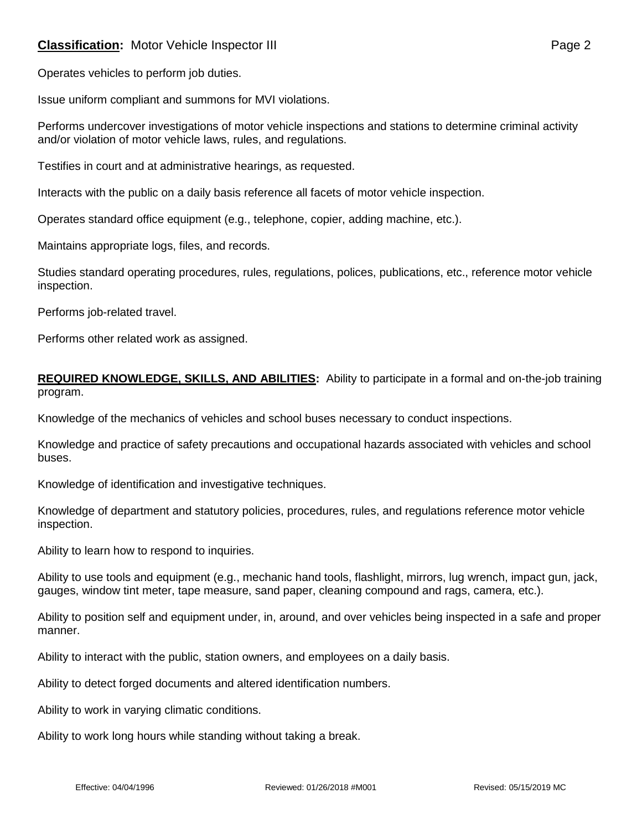# **Classification:** Motor Vehicle Inspector III **Classification:** Page 2

Issue uniform compliant and summons for MVI violations.

Performs undercover investigations of motor vehicle inspections and stations to determine criminal activity and/or violation of motor vehicle laws, rules, and regulations.

Testifies in court and at administrative hearings, as requested.

Interacts with the public on a daily basis reference all facets of motor vehicle inspection.

Operates standard office equipment (e.g., telephone, copier, adding machine, etc.).

Maintains appropriate logs, files, and records.

Studies standard operating procedures, rules, regulations, polices, publications, etc., reference motor vehicle inspection.

Performs job-related travel.

Performs other related work as assigned.

#### **REQUIRED KNOWLEDGE, SKILLS, AND ABILITIES:** Ability to participate in a formal and on-the-job training program.

Knowledge of the mechanics of vehicles and school buses necessary to conduct inspections.

Knowledge and practice of safety precautions and occupational hazards associated with vehicles and school buses.

Knowledge of identification and investigative techniques.

Knowledge of department and statutory policies, procedures, rules, and regulations reference motor vehicle inspection.

Ability to learn how to respond to inquiries.

Ability to use tools and equipment (e.g., mechanic hand tools, flashlight, mirrors, lug wrench, impact gun, jack, gauges, window tint meter, tape measure, sand paper, cleaning compound and rags, camera, etc.).

Ability to position self and equipment under, in, around, and over vehicles being inspected in a safe and proper manner.

Ability to interact with the public, station owners, and employees on a daily basis.

Ability to detect forged documents and altered identification numbers.

Ability to work in varying climatic conditions.

Ability to work long hours while standing without taking a break.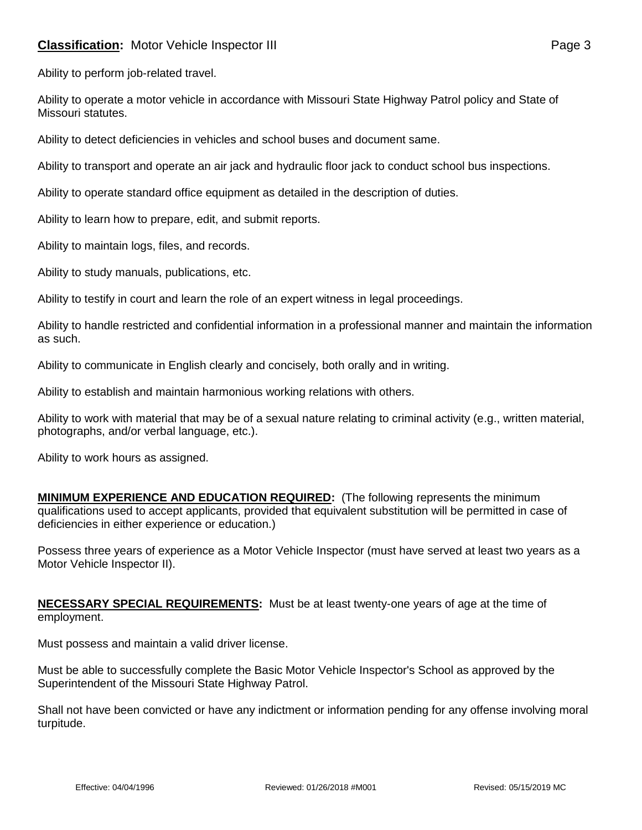# **Classification:** Motor Vehicle Inspector III **Classification:** Page 3

Ability to perform job-related travel.

Ability to operate a motor vehicle in accordance with Missouri State Highway Patrol policy and State of Missouri statutes.

Ability to detect deficiencies in vehicles and school buses and document same.

Ability to transport and operate an air jack and hydraulic floor jack to conduct school bus inspections.

Ability to operate standard office equipment as detailed in the description of duties.

Ability to learn how to prepare, edit, and submit reports.

Ability to maintain logs, files, and records.

Ability to study manuals, publications, etc.

Ability to testify in court and learn the role of an expert witness in legal proceedings.

Ability to handle restricted and confidential information in a professional manner and maintain the information as such.

Ability to communicate in English clearly and concisely, both orally and in writing.

Ability to establish and maintain harmonious working relations with others.

Ability to work with material that may be of a sexual nature relating to criminal activity (e.g., written material, photographs, and/or verbal language, etc.).

Ability to work hours as assigned.

**MINIMUM EXPERIENCE AND EDUCATION REQUIRED:** (The following represents the minimum qualifications used to accept applicants, provided that equivalent substitution will be permitted in case of deficiencies in either experience or education.)

Possess three years of experience as a Motor Vehicle Inspector (must have served at least two years as a Motor Vehicle Inspector II).

**NECESSARY SPECIAL REQUIREMENTS:** Must be at least twenty-one years of age at the time of employment.

Must possess and maintain a valid driver license.

Must be able to successfully complete the Basic Motor Vehicle Inspector's School as approved by the Superintendent of the Missouri State Highway Patrol.

Shall not have been convicted or have any indictment or information pending for any offense involving moral turpitude.